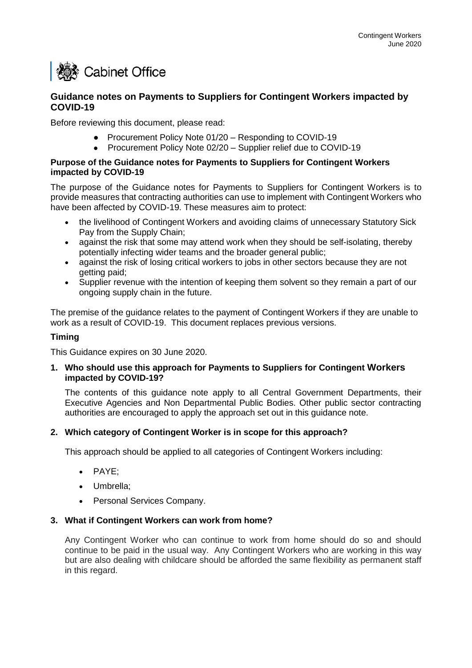# **I & Cabinet Office**

# **Guidance notes on Payments to Suppliers for Contingent Workers impacted by COVID-19**

Before reviewing this document, please read:

- Procurement Policy Note 01/20 Responding to COVID-19
- Procurement Policy Note 02/20 Supplier relief due to COVID-19

## **Purpose of the Guidance notes for Payments to Suppliers for Contingent Workers impacted by COVID-19**

The purpose of the Guidance notes for Payments to Suppliers for Contingent Workers is to provide measures that contracting authorities can use to implement with Contingent Workers who have been affected by COVID-19. These measures aim to protect:

- the livelihood of Contingent Workers and avoiding claims of unnecessary Statutory Sick Pay from the Supply Chain;
- against the risk that some may attend work when they should be self-isolating, thereby potentially infecting wider teams and the broader general public;
- against the risk of losing critical workers to jobs in other sectors because they are not getting paid;
- Supplier revenue with the intention of keeping them solvent so they remain a part of our ongoing supply chain in the future.

The premise of the guidance relates to the payment of Contingent Workers if they are unable to work as a result of COVID-19. This document replaces previous versions.

# **Timing**

This Guidance expires on 30 June 2020.

# **1. Who should use this approach for Payments to Suppliers for Contingent Workers impacted by COVID-19?**

The contents of this guidance note apply to all Central Government Departments, their Executive Agencies and Non Departmental Public Bodies. Other public sector contracting authorities are encouraged to apply the approach set out in this guidance note.

# **2. Which category of Contingent Worker is in scope for this approach?**

This approach should be applied to all categories of Contingent Workers including:

- PAYE;
- Umbrella:
- Personal Services Company.

## **3. What if Contingent Workers can work from home?**

Any Contingent Worker who can continue to work from home should do so and should continue to be paid in the usual way. Any Contingent Workers who are working in this way but are also dealing with childcare should be afforded the same flexibility as permanent staff in this regard.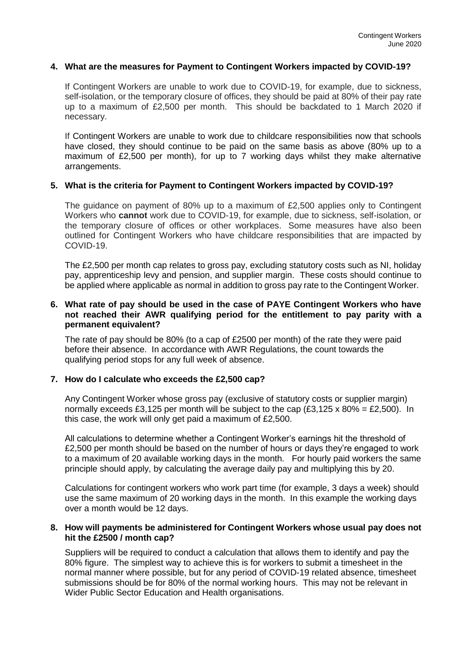## **4. What are the measures for Payment to Contingent Workers impacted by COVID-19?**

If Contingent Workers are unable to work due to COVID-19, for example, due to sickness, self-isolation, or the temporary closure of offices, they should be paid at 80% of their pay rate up to a maximum of £2,500 per month. This should be backdated to 1 March 2020 if necessary.

If Contingent Workers are unable to work due to childcare responsibilities now that schools have closed, they should continue to be paid on the same basis as above (80% up to a maximum of £2,500 per month), for up to 7 working days whilst they make alternative arrangements.

# **5. What is the criteria for Payment to Contingent Workers impacted by COVID-19?**

The guidance on payment of 80% up to a maximum of £2,500 applies only to Contingent Workers who **cannot** work due to COVID-19, for example, due to sickness, self-isolation, or the temporary closure of offices or other workplaces. Some measures have also been outlined for Contingent Workers who have childcare responsibilities that are impacted by COVID-19.

The £2,500 per month cap relates to gross pay, excluding statutory costs such as NI, holiday pay, apprenticeship levy and pension, and supplier margin. These costs should continue to be applied where applicable as normal in addition to gross pay rate to the Contingent Worker.

# **6. What rate of pay should be used in the case of PAYE Contingent Workers who have not reached their AWR qualifying period for the entitlement to pay parity with a permanent equivalent?**

The rate of pay should be 80% (to a cap of £2500 per month) of the rate they were paid before their absence. In accordance with AWR Regulations, the count towards the qualifying period stops for any full week of absence.

## **7. How do I calculate who exceeds the £2,500 cap?**

Any Contingent Worker whose gross pay (exclusive of statutory costs or supplier margin) normally exceeds £3,125 per month will be subject to the cap (£3,125 x 80% = £2,500). In this case, the work will only get paid a maximum of £2,500.

All calculations to determine whether a Contingent Worker's earnings hit the threshold of £2,500 per month should be based on the number of hours or days they're engaged to work to a maximum of 20 available working days in the month. For hourly paid workers the same principle should apply, by calculating the average daily pay and multiplying this by 20.

Calculations for contingent workers who work part time (for example, 3 days a week) should use the same maximum of 20 working days in the month. In this example the working days over a month would be 12 days.

## **8. How will payments be administered for Contingent Workers whose usual pay does not hit the £2500 / month cap?**

Suppliers will be required to conduct a calculation that allows them to identify and pay the 80% figure. The simplest way to achieve this is for workers to submit a timesheet in the normal manner where possible, but for any period of COVID-19 related absence, timesheet submissions should be for 80% of the normal working hours. This may not be relevant in Wider Public Sector Education and Health organisations.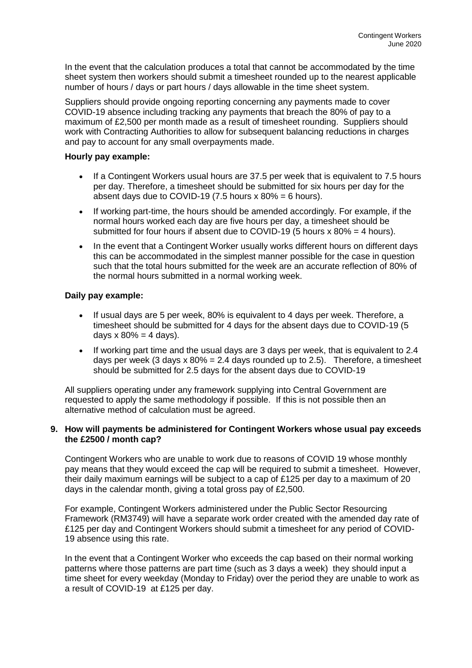In the event that the calculation produces a total that cannot be accommodated by the time sheet system then workers should submit a timesheet rounded up to the nearest applicable number of hours / days or part hours / days allowable in the time sheet system.

Suppliers should provide ongoing reporting concerning any payments made to cover COVID-19 absence including tracking any payments that breach the 80% of pay to a maximum of £2,500 per month made as a result of timesheet rounding. Suppliers should work with Contracting Authorities to allow for subsequent balancing reductions in charges and pay to account for any small overpayments made.

# **Hourly pay example:**

- If a Contingent Workers usual hours are 37.5 per week that is equivalent to 7.5 hours per day. Therefore, a timesheet should be submitted for six hours per day for the absent days due to COVID-19 (7.5 hours  $x$  80% = 6 hours).
- If working part-time, the hours should be amended accordingly. For example, if the normal hours worked each day are five hours per day, a timesheet should be submitted for four hours if absent due to COVID-19 (5 hours  $x$  80% = 4 hours).
- In the event that a Contingent Worker usually works different hours on different days this can be accommodated in the simplest manner possible for the case in question such that the total hours submitted for the week are an accurate reflection of 80% of the normal hours submitted in a normal working week.

# **Daily pay example:**

- If usual days are 5 per week, 80% is equivalent to 4 days per week. Therefore, a timesheet should be submitted for 4 days for the absent days due to COVID-19 (5 days  $x 80\% = 4$  days).
- If working part time and the usual days are 3 days per week, that is equivalent to 2.4 days per week (3 days  $x$  80% = 2.4 days rounded up to 2.5). Therefore, a timesheet should be submitted for 2.5 days for the absent days due to COVID-19

All suppliers operating under any framework supplying into Central Government are requested to apply the same methodology if possible. If this is not possible then an alternative method of calculation must be agreed.

# **9. How will payments be administered for Contingent Workers whose usual pay exceeds the £2500 / month cap?**

Contingent Workers who are unable to work due to reasons of COVID 19 whose monthly pay means that they would exceed the cap will be required to submit a timesheet. However, their daily maximum earnings will be subject to a cap of £125 per day to a maximum of 20 days in the calendar month, giving a total gross pay of £2,500.

For example, Contingent Workers administered under the Public Sector Resourcing Framework (RM3749) will have a separate work order created with the amended day rate of £125 per day and Contingent Workers should submit a timesheet for any period of COVID-19 absence using this rate.

In the event that a Contingent Worker who exceeds the cap based on their normal working patterns where those patterns are part time (such as 3 days a week) they should input a time sheet for every weekday (Monday to Friday) over the period they are unable to work as a result of COVID-19 at £125 per day.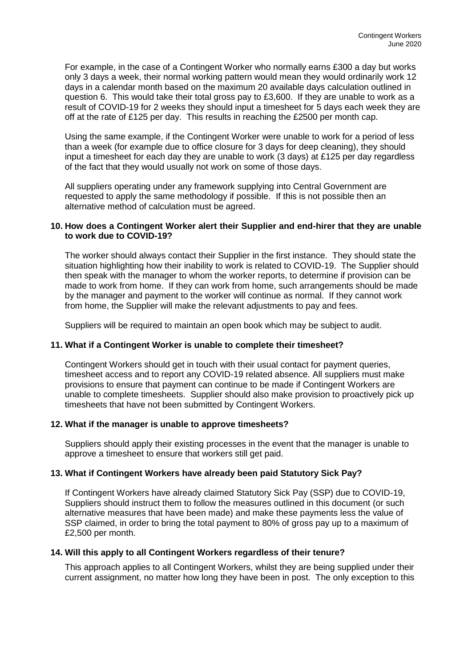For example, in the case of a Contingent Worker who normally earns £300 a day but works only 3 days a week, their normal working pattern would mean they would ordinarily work 12 days in a calendar month based on the maximum 20 available days calculation outlined in question 6. This would take their total gross pay to £3,600. If they are unable to work as a result of COVID-19 for 2 weeks they should input a timesheet for 5 days each week they are off at the rate of £125 per day. This results in reaching the £2500 per month cap.

Using the same example, if the Contingent Worker were unable to work for a period of less than a week (for example due to office closure for 3 days for deep cleaning), they should input a timesheet for each day they are unable to work  $(3 \text{ days})$  at £125 per day regardless of the fact that they would usually not work on some of those days.

All suppliers operating under any framework supplying into Central Government are requested to apply the same methodology if possible. If this is not possible then an alternative method of calculation must be agreed.

# **10. How does a Contingent Worker alert their Supplier and end-hirer that they are unable to work due to COVID-19?**

The worker should always contact their Supplier in the first instance. They should state the situation highlighting how their inability to work is related to COVID-19. The Supplier should then speak with the manager to whom the worker reports, to determine if provision can be made to work from home. If they can work from home, such arrangements should be made by the manager and payment to the worker will continue as normal. If they cannot work from home, the Supplier will make the relevant adjustments to pay and fees.

Suppliers will be required to maintain an open book which may be subject to audit.

# **11. What if a Contingent Worker is unable to complete their timesheet?**

Contingent Workers should get in touch with their usual contact for payment queries, timesheet access and to report any COVID-19 related absence. All suppliers must make provisions to ensure that payment can continue to be made if Contingent Workers are unable to complete timesheets. Supplier should also make provision to proactively pick up timesheets that have not been submitted by Contingent Workers.

# **12. What if the manager is unable to approve timesheets?**

Suppliers should apply their existing processes in the event that the manager is unable to approve a timesheet to ensure that workers still get paid.

# **13. What if Contingent Workers have already been paid Statutory Sick Pay?**

If Contingent Workers have already claimed Statutory Sick Pay (SSP) due to COVID-19, Suppliers should instruct them to follow the measures outlined in this document (or such alternative measures that have been made) and make these payments less the value of SSP claimed, in order to bring the total payment to 80% of gross pay up to a maximum of £2,500 per month.

# **14. Will this apply to all Contingent Workers regardless of their tenure?**

This approach applies to all Contingent Workers, whilst they are being supplied under their current assignment, no matter how long they have been in post. The only exception to this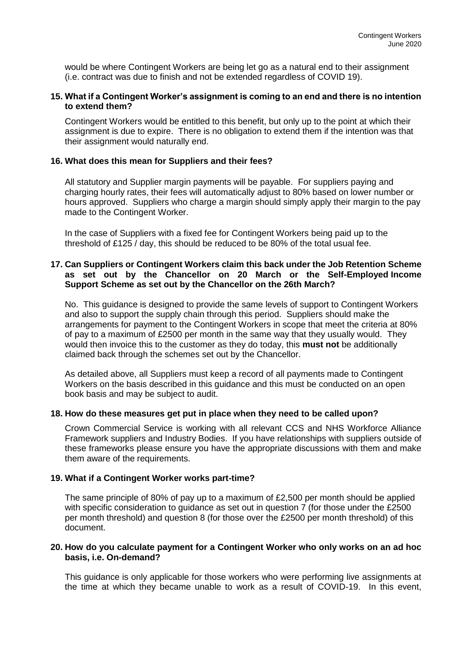would be where Contingent Workers are being let go as a natural end to their assignment (i.e. contract was due to finish and not be extended regardless of COVID 19).

## **15. What if a Contingent Worker's assignment is coming to an end and there is no intention to extend them?**

Contingent Workers would be entitled to this benefit, but only up to the point at which their assignment is due to expire. There is no obligation to extend them if the intention was that their assignment would naturally end.

# **16. What does this mean for Suppliers and their fees?**

All statutory and Supplier margin payments will be payable. For suppliers paying and charging hourly rates, their fees will automatically adjust to 80% based on lower number or hours approved. Suppliers who charge a margin should simply apply their margin to the pay made to the Contingent Worker.

In the case of Suppliers with a fixed fee for Contingent Workers being paid up to the threshold of £125 / day, this should be reduced to be 80% of the total usual fee.

## **17. Can Suppliers or Contingent Workers claim this back under the Job Retention Scheme as set out by the Chancellor on 20 March or the Self-Employed Income Support Scheme as set out by the Chancellor on the 26th March?**

No. This guidance is designed to provide the same levels of support to Contingent Workers and also to support the supply chain through this period. Suppliers should make the arrangements for payment to the Contingent Workers in scope that meet the criteria at 80% of pay to a maximum of £2500 per month in the same way that they usually would. They would then invoice this to the customer as they do today, this **must not** be additionally claimed back through the schemes set out by the Chancellor.

As detailed above, all Suppliers must keep a record of all payments made to Contingent Workers on the basis described in this guidance and this must be conducted on an open book basis and may be subject to audit.

## **18. How do these measures get put in place when they need to be called upon?**

Crown Commercial Service is working with all relevant CCS and NHS Workforce Alliance Framework suppliers and Industry Bodies. If you have relationships with suppliers outside of these frameworks please ensure you have the appropriate discussions with them and make them aware of the requirements.

#### **19. What if a Contingent Worker works part-time?**

The same principle of 80% of pay up to a maximum of £2,500 per month should be applied with specific consideration to guidance as set out in question 7 (for those under the £2500 per month threshold) and question 8 (for those over the £2500 per month threshold) of this document.

#### **20. How do you calculate payment for a Contingent Worker who only works on an ad hoc basis, i.e. On-demand?**

This guidance is only applicable for those workers who were performing live assignments at the time at which they became unable to work as a result of COVID-19. In this event,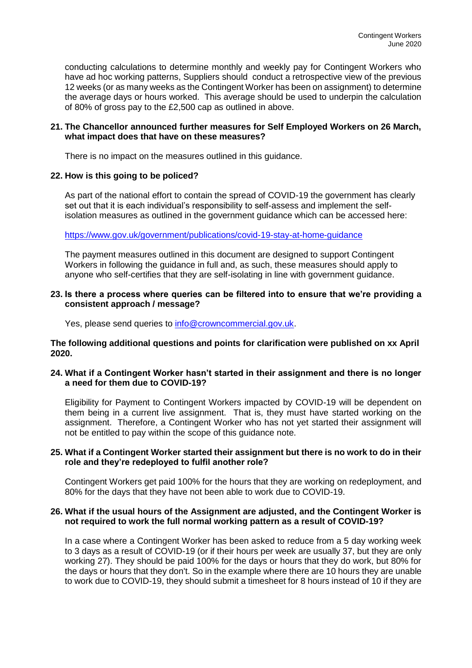conducting calculations to determine monthly and weekly pay for Contingent Workers who have ad hoc working patterns, Suppliers should conduct a retrospective view of the previous 12 weeks (or as many weeks as the Contingent Worker has been on assignment) to determine the average days or hours worked. This average should be used to underpin the calculation of 80% of gross pay to the £2,500 cap as outlined in above.

# **21. The Chancellor announced further measures for Self Employed Workers on 26 March, what impact does that have on these measures?**

There is no impact on the measures outlined in this guidance.

# **22. How is this going to be policed?**

As part of the national effort to contain the spread of COVID-19 the government has clearly set out that it is each individual's responsibility to self-assess and implement the selfisolation measures as outlined in the government guidance which can be accessed here:

<https://www.gov.uk/government/publications/covid-19-stay-at-home-guidance>

The payment measures outlined in this document are designed to support Contingent Workers in following the guidance in full and, as such, these measures should apply to anyone who self-certifies that they are self-isolating in line with government guidance.

## **23. Is there a process where queries can be filtered into to ensure that we're providing a consistent approach / message?**

Yes, please send queries to [info@crowncommercial.gov.uk.](mailto:info@crowncommercial.gov.uk)

**The following additional questions and points for clarification were published on xx April 2020.**

# **24. What if a Contingent Worker hasn't started in their assignment and there is no longer a need for them due to COVID-19?**

Eligibility for Payment to Contingent Workers impacted by COVID-19 will be dependent on them being in a current live assignment. That is, they must have started working on the assignment. Therefore, a Contingent Worker who has not yet started their assignment will not be entitled to pay within the scope of this guidance note.

# **25. What if a Contingent Worker started their assignment but there is no work to do in their role and they're redeployed to fulfil another role?**

Contingent Workers get paid 100% for the hours that they are working on redeployment, and 80% for the days that they have not been able to work due to COVID-19.

# **26. What if the usual hours of the Assignment are adjusted, and the Contingent Worker is not required to work the full normal working pattern as a result of COVID-19?**

In a case where a Contingent Worker has been asked to reduce from a 5 day working week to 3 days as a result of COVID-19 (or if their hours per week are usually 37, but they are only working 27). They should be paid 100% for the days or hours that they do work, but 80% for the days or hours that they don't. So in the example where there are 10 hours they are unable to work due to COVID-19, they should submit a timesheet for 8 hours instead of 10 if they are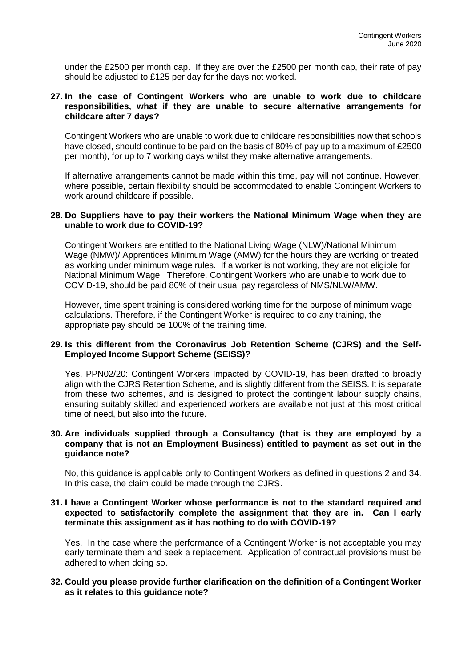under the £2500 per month cap. If they are over the £2500 per month cap, their rate of pay should be adjusted to £125 per day for the days not worked.

## **27. In the case of Contingent Workers who are unable to work due to childcare responsibilities, what if they are unable to secure alternative arrangements for childcare after 7 days?**

Contingent Workers who are unable to work due to childcare responsibilities now that schools have closed, should continue to be paid on the basis of 80% of pay up to a maximum of £2500 per month), for up to 7 working days whilst they make alternative arrangements.

If alternative arrangements cannot be made within this time, pay will not continue. However, where possible, certain flexibility should be accommodated to enable Contingent Workers to work around childcare if possible.

#### **28. Do Suppliers have to pay their workers the National Minimum Wage when they are unable to work due to COVID-19?**

Contingent Workers are entitled to the National Living Wage (NLW)/National Minimum Wage (NMW)/ Apprentices Minimum Wage (AMW) for the hours they are working or treated as working under minimum wage rules. If a worker is not working, they are not eligible for National Minimum Wage. Therefore, Contingent Workers who are unable to work due to COVID-19, should be paid 80% of their usual pay regardless of NMS/NLW/AMW.

However, time spent training is considered working time for the purpose of minimum wage calculations. Therefore, if the Contingent Worker is required to do any training, the appropriate pay should be 100% of the training time.

## **29. Is this different from the Coronavirus Job Retention Scheme (CJRS) and the Self-Employed Income Support Scheme (SEISS)?**

Yes, PPN02/20: Contingent Workers Impacted by COVID-19, has been drafted to broadly align with the CJRS Retention Scheme, and is slightly different from the SEISS. It is separate from these two schemes, and is designed to protect the contingent labour supply chains, ensuring suitably skilled and experienced workers are available not just at this most critical time of need, but also into the future.

## **30. Are individuals supplied through a Consultancy (that is they are employed by a company that is not an Employment Business) entitled to payment as set out in the guidance note?**

No, this guidance is applicable only to Contingent Workers as defined in questions 2 and 34. In this case, the claim could be made through the CJRS.

## **31. I have a Contingent Worker whose performance is not to the standard required and expected to satisfactorily complete the assignment that they are in. Can I early terminate this assignment as it has nothing to do with COVID-19?**

Yes. In the case where the performance of a Contingent Worker is not acceptable you may early terminate them and seek a replacement. Application of contractual provisions must be adhered to when doing so.

## **32. Could you please provide further clarification on the definition of a Contingent Worker as it relates to this guidance note?**